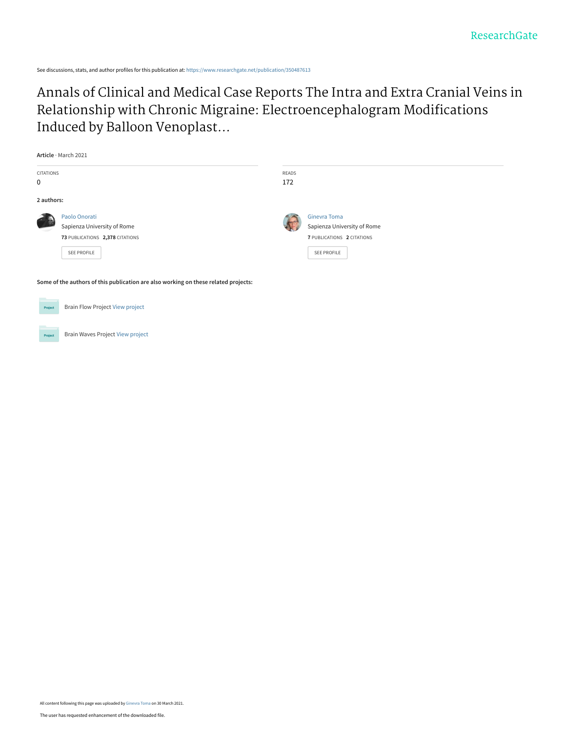See discussions, stats, and author profiles for this publication at: [https://www.researchgate.net/publication/350487613](https://www.researchgate.net/publication/350487613_Annals_of_Clinical_and_Medical_Case_Reports_The_Intra_and_Extra_Cranial_Veins_in_Relationship_with_Chronic_Migraine_Electroencephalogram_Modifications_Induced_by_Balloon_Venoplasty?enrichId=rgreq-4ee6ae47060e8cb8b5d38d2005525a8a-XXX&enrichSource=Y292ZXJQYWdlOzM1MDQ4NzYxMztBUzoxMDA3MDE2NjU5MTUyOTAwQDE2MTcxMDI4ODk5ODc%3D&el=1_x_2&_esc=publicationCoverPdf)

[Annals of Clinical and Medical Case Reports The Intra and Extra Cranial Veins in](https://www.researchgate.net/publication/350487613_Annals_of_Clinical_and_Medical_Case_Reports_The_Intra_and_Extra_Cranial_Veins_in_Relationship_with_Chronic_Migraine_Electroencephalogram_Modifications_Induced_by_Balloon_Venoplasty?enrichId=rgreq-4ee6ae47060e8cb8b5d38d2005525a8a-XXX&enrichSource=Y292ZXJQYWdlOzM1MDQ4NzYxMztBUzoxMDA3MDE2NjU5MTUyOTAwQDE2MTcxMDI4ODk5ODc%3D&el=1_x_3&_esc=publicationCoverPdf) Relationship with Chronic Migraine: Electroencephalogram Modifications Induced by Balloon Venoplast...

|            | Article · March 2021                                                                |       |                             |  |  |  |  |  |  |  |
|------------|-------------------------------------------------------------------------------------|-------|-----------------------------|--|--|--|--|--|--|--|
| CITATIONS  |                                                                                     | READS |                             |  |  |  |  |  |  |  |
| 0          |                                                                                     | 172   |                             |  |  |  |  |  |  |  |
| 2 authors: |                                                                                     |       |                             |  |  |  |  |  |  |  |
|            | Paolo Onorati                                                                       |       | <b>Ginevra Toma</b>         |  |  |  |  |  |  |  |
|            | Sapienza University of Rome                                                         |       | Sapienza University of Rome |  |  |  |  |  |  |  |
|            | 73 PUBLICATIONS 2,378 CITATIONS                                                     |       | 7 PUBLICATIONS 2 CITATIONS  |  |  |  |  |  |  |  |
|            | SEE PROFILE                                                                         |       | SEE PROFILE                 |  |  |  |  |  |  |  |
|            | Some of the authors of this publication are also working on these related projects: |       |                             |  |  |  |  |  |  |  |
| Project    | <b>Brain Flow Project View project</b>                                              |       |                             |  |  |  |  |  |  |  |

Brain Waves Project [View project](https://www.researchgate.net/project/Brain-Waves-Project?enrichId=rgreq-4ee6ae47060e8cb8b5d38d2005525a8a-XXX&enrichSource=Y292ZXJQYWdlOzM1MDQ4NzYxMztBUzoxMDA3MDE2NjU5MTUyOTAwQDE2MTcxMDI4ODk5ODc%3D&el=1_x_9&_esc=publicationCoverPdf)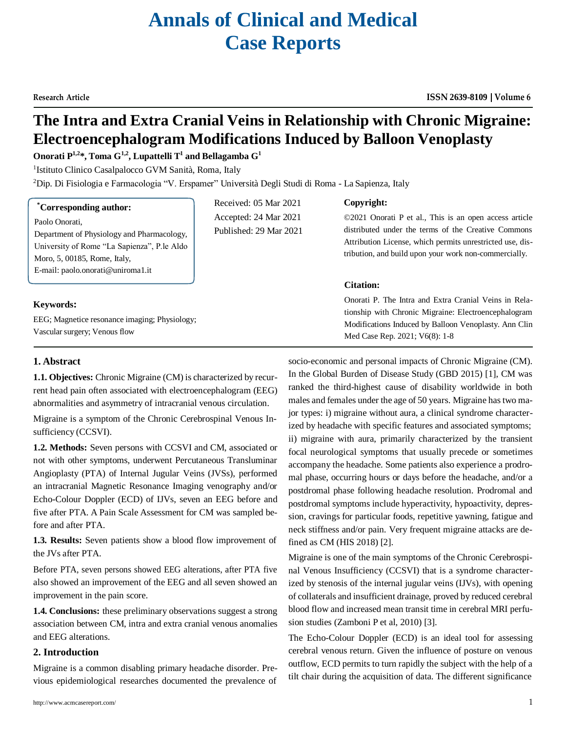# **Annals of Clinical and Medical Case Reports**

# **The Intra and Extra Cranial Veins in Relationship with Chronic Migraine: Electroencephalogram Modifications Induced by Balloon Venoplasty**

# $\mathbf{0}$ norati  $\mathbf{P}^{1,2}$ \*,  $\mathbf{T}$ oma  $\mathbf{G}^{1,2}$ ,  $\mathbf{L}$ upattelli  $\mathbf{T}^{1}$  and  $\mathbf{B}$ ellagamba  $\mathbf{G}^{1}$

<sup>1</sup>Istituto Clinico Casalpalocco GVM Sanità, Roma, Italy

<sup>2</sup>Dip. Di Fisiologia e Farmacologia "V. Erspamer" Università Degli Studi di Roma - La Sapienza, Italy

Received: 05 Mar 2021 Accepted: 24 Mar 2021 Published: 29 Mar 2021

# **\*Corresponding author:**

Paolo Onorati,

Department of Physiology and Pharmacology, University of Rome "La Sapienza", P.le Aldo Moro, 5, 00185, Rome, Italy, E-mail[: paolo.onorati@uniroma1.it](mailto:paolo.onorati@uniroma1.it)

# **Keywords:**

EEG; Magnetice resonance imaging; Physiology; Vascular surgery; Venous flow

# **Copyright:**

©2021 Onorati P et al., This is an open access article distributed under the terms of the Creative Commons Attribution License, which permits unrestricted use, distribution, and build upon your work non-commercially.

# **Citation:**

Onorati P. The Intra and Extra Cranial Veins in Relationship with Chronic Migraine: Electroencephalogram Modifications Induced by Balloon Venoplasty. Ann Clin Med Case Rep. 2021; V6(8): 1-8

# **1. Abstract**

**1.1. Objectives:** Chronic Migraine (CM) is characterized by recurrent head pain often associated with electroencephalogram (EEG) abnormalities and asymmetry of intracranial venous circulation.

Migraine is a symptom of the Chronic Cerebrospinal Venous Insufficiency (CCSVI).

**1.2. Methods:** Seven persons with CCSVI and CM, associated or not with other symptoms, underwent Percutaneous Transluminar Angioplasty (PTA) of Internal Jugular Veins (JVSs), performed an intracranial Magnetic Resonance Imaging venography and/or Echo-Colour Doppler (ECD) of IJVs, seven an EEG before and five after PTA. A Pain Scale Assessment for CM was sampled before and after PTA.

**1.3. Results:** Seven patients show a blood flow improvement of the JVs after PTA.

Before PTA, seven persons showed EEG alterations, after PTA five also showed an improvement of the EEG and all seven showed an improvement in the pain score.

**1.4. Conclusions:** these preliminary observations suggest a strong association between CM, intra and extra cranial venous anomalies and EEG alterations.

# **2. Introduction**

Migraine is a common disabling primary headache disorder. Previous epidemiological researches documented the prevalence of

<http://www.acmcasereport.com/> 1

socio-economic and personal impacts of Chronic Migraine (CM). In the Global Burden of Disease Study (GBD 2015) [1], CM was ranked the third-highest cause of disability worldwide in both males and females under the age of 50 years. Migraine hastwo major types: i) migraine without aura, a clinical syndrome characterized by headache with specific features and associated symptoms; ii) migraine with aura, primarily characterized by the transient focal neurological symptoms that usually precede or sometimes accompany the headache. Some patients also experience a prodromal phase, occurring hours or days before the headache, and/or a postdromal phase following headache resolution. Prodromal and postdromal symptoms include hyperactivity, hypoactivity, depression, cravings for particular foods, repetitive yawning, fatigue and neck stiffness and/or pain. Very frequent migraine attacks are defined as CM (HIS 2018) [2].

Migraine is one of the main symptoms of the Chronic Cerebrospinal Venous Insufficiency (CCSVI) that is a syndrome characterized by stenosis of the internal jugular veins (IJVs), with opening of collaterals and insufficient drainage, proved by reduced cerebral blood flow and increased mean transit time in cerebral MRI perfusion studies (Zamboni P et al, 2010) [3].

The Echo-Colour Doppler (ECD) is an ideal tool for assessing cerebral venous return. Given the influence of posture on venous outflow, ECD permits to turn rapidly the subject with the help of a tilt chair during the acquisition of data. The different significance

# **Research Article ISSN 2639-8109 Volume 6**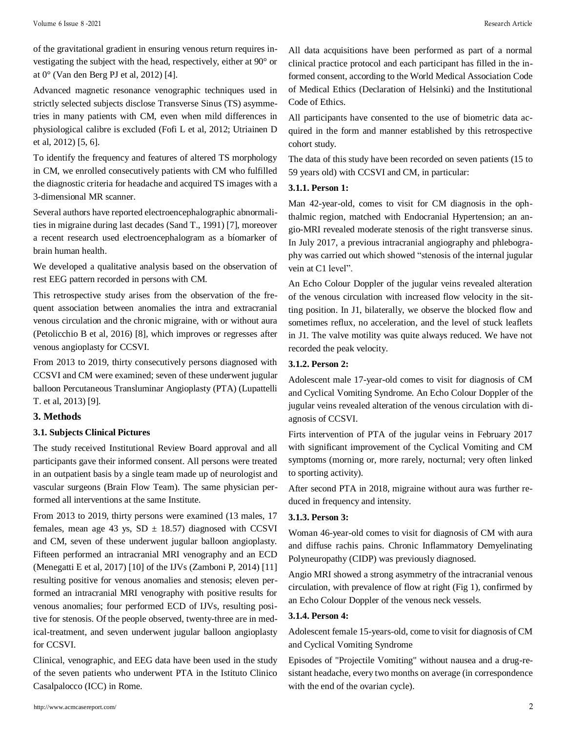of the gravitational gradient in ensuring venous return requires investigating the subject with the head, respectively, either at 90° or at 0° (Van den Berg PJ et al, 2012) [4].

Advanced magnetic resonance venographic techniques used in strictly selected subjects disclose Transverse Sinus (TS) asymmetries in many patients with CM, even when mild differences in physiological calibre is excluded (Fofi L et al, 2012; Utriainen D et al, 2012) [5, 6].

To identify the frequency and features of altered TS morphology in CM, we enrolled consecutively patients with CM who fulfilled the diagnostic criteria for headache and acquired TS images with a 3-dimensional MR scanner.

Several authors have reported electroencephalographic abnormalities in migraine during last decades (Sand T., 1991) [7], moreover a recent research used electroencephalogram as a bíomarker of brain human health.

We developed a qualitative analysis based on the observation of rest EEG pattern recorded in persons with CM.

This retrospective study arises from the observation of the frequent association between anomalies the intra and extracranial venous circulation and the chronic migraine, with or without aura (Petolicchio B et al, 2016) [8], which improves or regresses after venous angioplasty for CCSVI.

From 2013 to 2019, thirty consecutively persons diagnosed with CCSVI and CM were examined; seven of these underwent jugular balloon Percutaneous Transluminar Angioplasty (PTA) (Lupattelli T. et al, 2013) [9].

# **3. Methods**

#### **3.1. Subjects Clinical Pictures**

The study received Institutional Review Board approval and all participants gave their informed consent. All persons were treated in an outpatient basis by a single team made up of neurologist and vascular surgeons (Brain Flow Team). The same physician performed all interventions at the same Institute.

From 2013 to 2019, thirty persons were examined (13 males, 17 females, mean age 43 ys,  $SD \pm 18.57$ ) diagnosed with CCSVI and CM, seven of these underwent jugular balloon angioplasty. Fifteen performed an intracranial MRI venography and an ECD (Menegatti E et al, 2017) [10] of the IJVs (Zamboni P, 2014) [11] resulting positive for venous anomalies and stenosis; eleven performed an intracranial MRI venography with positive results for venous anomalies; four performed ECD of IJVs, resulting positive for stenosis. Of the people observed, twenty-three are in medical-treatment, and seven underwent jugular balloon angioplasty for CCSVI.

Clinical, venographic, and EEG data have been used in the study of the seven patients who underwent PTA in the Istituto Clinico Casalpalocco (ICC) in Rome.

All data acquisitions have been performed as part of a normal clinical practice protocol and each participant has filled in the informed consent, according to the World Medical Association Code of Medical Ethics (Declaration of Helsinki) and the Institutional Code of Ethics.

All participants have consented to the use of biometric data acquired in the form and manner established by this retrospective cohort study.

The data of this study have been recorded on seven patients (15 to 59 years old) with CCSVI and CM, in particular:

# **3.1.1. Person 1:**

Man 42-year-old, comes to visit for CM diagnosis in the ophthalmic region, matched with Endocranial Hypertension; an angio-MRI revealed moderate stenosis of the right transverse sinus. In July 2017, a previous intracranial angiography and phlebography was carried out which showed "stenosis of the internal jugular vein at C1 level".

An Echo Colour Doppler of the jugular veins revealed alteration of the venous circulation with increased flow velocity in the sitting position. In J1, bilaterally, we observe the blocked flow and sometimes reflux, no acceleration, and the level of stuck leaflets in J1. The valve motility was quite always reduced. We have not recorded the peak velocity.

#### **3.1.2. Person 2:**

Adolescent male 17-year-old comes to visit for diagnosis of CM and Cyclical Vomiting Syndrome. An Echo Colour Doppler of the jugular veins revealed alteration of the venous circulation with diagnosis of CCSVI.

Firts intervention of PTA of the jugular veins in February 2017 with significant improvement of the Cyclical Vomiting and CM symptoms (morning or, more rarely, nocturnal; very often linked to sporting activity).

After second PTA in 2018, migraine without aura was further reduced in frequency and intensity.

# **3.1.3. Person 3:**

Woman 46-year-old comes to visit for diagnosis of CM with aura and diffuse rachis pains. Chronic Inflammatory Demyelinating Polyneuropathy (CIDP) was previously diagnosed.

Angio MRI showed a strong asymmetry of the intracranial venous circulation, with prevalence of flow at right (Fig 1), confirmed by an Echo Colour Doppler of the venous neck vessels.

# **3.1.4. Person 4:**

Adolescent female 15-years-old, come to visit for diagnosis of CM and Cyclical Vomiting Syndrome

Episodes of "Projectile Vomiting" without nausea and a drug-resistant headache, every two months on average (in correspondence with the end of the ovarian cycle).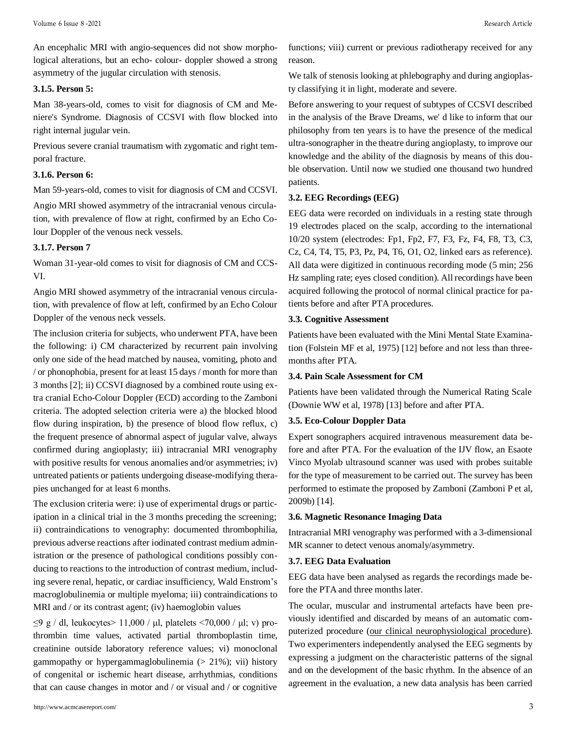An encephalic MRI with angio-sequences did not show morphological alterations, but an echo- colour- doppler showed a strong asymmetry of the jugular circulation with stenosis.

# **3.1.5. Person 5:**

Man 38-years-old, comes to visit for diagnosis of CM and Meniere's Syndrome. Diagnosis of CCSVI with flow blocked into right internal jugular vein.

Previous severe cranial traumatism with zygomatic and right temporal fracture.

## **3.1.6. Person 6:**

Man 59-years-old, comes to visit for diagnosis of CM and CCSVI.

Angio MRI showed asymmetry of the intracranial venous circulation, with prevalence of flow at right, confirmed by an Echo Colour Doppler of the venous neck vessels.

#### **3.1.7. Person 7**

Woman 31-year-old comes to visit for diagnosis of CM and CCS-VI.

Angio MRI showed asymmetry of the intracranial venous circulation, with prevalence of flow at left, confirmed by an Echo Colour Doppler of the venous neck vessels.

The inclusion criteria for subjects, who underwent PTA, have been the following: i) CM characterized by recurrent pain involving only one side of the head matched by nausea, vomiting, photo and / or phonophobia, present for at least 15 days / month for more than 3 months [2]; ii) CCSVI diagnosed by a combined route using extra cranial Echo-Colour Doppler (ECD) according to the Zamboni criteria. The adopted selection criteria were a) the blocked blood flow during inspiration, b) the presence of blood flow reflux, c) the frequent presence of abnormal aspect of jugular valve, always confirmed during angioplasty; iii) intracranial MRI venography with positive results for venous anomalies and/or asymmetries; iv) untreated patients or patients undergoing disease-modifying therapies unchanged for at least 6 months.

The exclusion criteria were: i) use of experimental drugs or participation in a clinical trial in the 3 months preceding the screening; ii) contraindications to venography: documented thrombophilia, previous adverse reactions after iodinated contrast medium administration or the presence of pathological conditions possibly conducing to reactions to the introduction of contrast medium, including severe renal, hepatic, or cardiac insufficiency, Wald Enstrom's macroglobulinemia or multiple myeloma; iii) contraindications to MRI and / or its contrast agent; (iv) haemoglobin values

 $\leq$ 9 g / dl, leukocytes > 11,000 / μl, platelets <70,000 / μl; v) prothrombin time values, activated partial thromboplastin time, creatinine outside laboratory reference values; vi) monoclonal gammopathy or hypergammaglobulinemia  $(> 21\%)$ ; vii) history of congenital or ischemic heart disease, arrhythmias, conditions that can cause changes in motor and / or visual and / or cognitive

<http://www.acmcasereport.com/> 3

functions; viii) current or previous radiotherapy received for any reason.

We talk of stenosis looking at phlebography and during angioplasty classifying it in light, moderate and severe.

Before answering to your request of subtypes of CCSVI described in the analysis of the Brave Dreams, we' d like to inform that our philosophy from ten years is to have the presence of the medical ultra-sonographer in the theatre during angioplasty, to improve our knowledge and the ability of the diagnosis by means of this double observation. Until now we studied one thousand two hundred patients.

# **3.2. EEG Recordings (EEG)**

EEG data were recorded on individuals in a resting state through 19 electrodes placed on the scalp, according to the international 10/20 system (electrodes: Fp1, Fp2, F7, F3, Fz, F4, F8, T3, C3, Cz, C4, T4, T5, P3, Pz, P4, T6, O1, O2, linked ears as reference). All data were digitized in continuous recording mode (5 min; 256 Hz sampling rate; eyes closed condition). All recordings have been acquired following the protocol of normal clinical practice for patients before and after PTA procedures.

# **3.3. Cognitive Assessment**

Patients have been evaluated with the Mini Mental State Examination (Folstein MF et al, 1975) [12] before and not less than threemonths after PTA.

#### **3.4. Pain Scale Assessment for CM**

Patients have been validated through the Numerical Rating Scale (Downie WW et al, 1978) [13] before and after PTA.

#### **3.5. Eco-Colour Doppler Data**

Expert sonographers acquired intravenous measurement data before and after PTA. For the evaluation of the IJV flow, an Esaote Vinco Myolab ultrasound scanner was used with probes suitable for the type of measurement to be carried out. The survey has been performed to estimate the proposed by Zamboni (Zamboni P et al, 2009b) [14].

#### **3.6. Magnetic Resonance Imaging Data**

Intracranial MRI venography was performed with a 3-dimensional MR scanner to detect venous anomaly/asymmetry.

#### **3.7. EEG Data Evaluation**

EEG data have been analysed as regards the recordings made before the PTA and three months later.

The ocular, muscular and instrumental artefacts have been previously identified and discarded by means of an automatic computerized procedure (our clinical neurophysiological procedure). Two experimenters independently analysed the EEG segments by expressing a judgment on the characteristic patterns of the signal and on the development of the basic rhythm. In the absence of an agreement in the evaluation, a new data analysis has been carried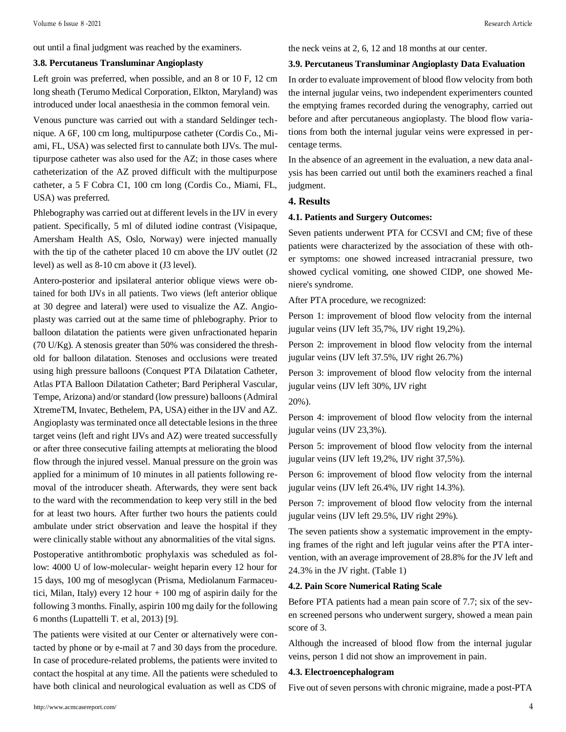out until a final judgment was reached by the examiners.

#### **3.8. Percutaneus Transluminar Angioplasty**

Left groin was preferred, when possible, and an 8 or 10 F, 12 cm long sheath (Terumo Medical Corporation, Elkton, Maryland) was introduced under local anaesthesia in the common femoral vein.

Venous puncture was carried out with a standard Seldinger technique. A 6F, 100 cm long, multipurpose catheter (Cordis Co., Miami, FL, USA) was selected first to cannulate both IJVs. The multipurpose catheter was also used for the AZ; in those cases where catheterization of the AZ proved difficult with the multipurpose catheter, a 5 F Cobra C1, 100 cm long (Cordis Co., Miami, FL, USA) was preferred.

Phlebography was carried out at different levels in the IJV in every patient. Specifically, 5 ml of diluted iodine contrast (Visipaque, Amersham Health AS, Oslo, Norway) were injected manually with the tip of the catheter placed 10 cm above the IJV outlet (J2 level) as well as 8-10 cm above it (J3 level).

Antero-posterior and ipsilateral anterior oblique views were obtained for both IJVs in all patients. Two views (left anterior oblique at 30 degree and lateral) were used to visualize the AZ. Angioplasty was carried out at the same time of phlebography. Prior to balloon dilatation the patients were given unfractionated heparin (70 U/Kg). A stenosis greater than 50% was considered the threshold for balloon dilatation. Stenoses and occlusions were treated using high pressure balloons (Conquest PTA Dilatation Catheter, Atlas PTA Balloon Dilatation Catheter; Bard Peripheral Vascular, Tempe, Arizona) and/or standard (low pressure) balloons (Admiral XtremeTM, Invatec, Bethelem, PA, USA) either in the IJV and AZ. Angioplasty was terminated once all detectable lesions in the three target veins (left and right IJVs and AZ) were treated successfully or after three consecutive failing attempts at meliorating the blood flow through the injured vessel. Manual pressure on the groin was applied for a minimum of 10 minutes in all patients following removal of the introducer sheath. Afterwards, they were sent back to the ward with the recommendation to keep very still in the bed for at least two hours. After further two hours the patients could ambulate under strict observation and leave the hospital if they were clinically stable without any abnormalities of the vital signs.

Postoperative antithrombotic prophylaxis was scheduled as follow: 4000 U of low-molecular- weight heparin every 12 hour for 15 days, 100 mg of mesoglycan (Prisma, Mediolanum Farmaceutici, Milan, Italy) every 12 hour  $+$  100 mg of aspirin daily for the following 3 months. Finally, aspirin 100 mg daily for the following 6 months (Lupattelli T. et al, 2013) [9].

The patients were visited at our Center or alternatively were contacted by phone or by e-mail at 7 and 30 days from the procedure. In case of procedure-related problems, the patients were invited to contact the hospital at any time. All the patients were scheduled to have both clinical and neurological evaluation as well as CDS of

the neck veins at 2, 6, 12 and 18 months at our center.

#### **3.9. Percutaneus Transluminar Angioplasty Data Evaluation**

In order to evaluate improvement of blood flow velocity from both the internal jugular veins, two independent experimenters counted the emptying frames recorded during the venography, carried out before and after percutaneous angioplasty. The blood flow variations from both the internal jugular veins were expressed in percentage terms.

In the absence of an agreement in the evaluation, a new data analysis has been carried out until both the examiners reached a final judgment.

## **4. Results**

#### **4.1. Patients and Surgery Outcomes:**

Seven patients underwent PTA for CCSVI and CM; five of these patients were characterized by the association of these with other symptoms: one showed increased intracranial pressure, two showed cyclical vomiting, one showed CIDP, one showed Meniere's syndrome.

After PTA procedure, we recognized:

Person 1: improvement of blood flow velocity from the internal jugular veins (IJV left 35,7%, IJV right 19,2%).

Person 2: improvement in blood flow velocity from the internal jugular veins (IJV left 37.5%, IJV right 26.7%)

Person 3: improvement of blood flow velocity from the internal jugular veins (IJV left 30%, IJV right

20%).

Person 4: improvement of blood flow velocity from the internal jugular veins (IJV 23,3%).

Person 5: improvement of blood flow velocity from the internal jugular veins (IJV left 19,2%, IJV right 37,5%).

Person 6: improvement of blood flow velocity from the internal jugular veins (IJV left 26.4%, IJV right 14.3%).

Person 7: improvement of blood flow velocity from the internal jugular veins (IJV left 29.5%, IJV right 29%).

The seven patients show a systematic improvement in the emptying frames of the right and left jugular veins after the PTA intervention, with an average improvement of 28.8% for the JV left and 24.3% in the JV right. (Table 1)

#### **4.2. Pain Score Numerical Rating Scale**

Before PTA patients had a mean pain score of 7.7; six of the seven screened persons who underwent surgery, showed a mean pain score of 3.

Although the increased of blood flow from the internal jugular veins, person 1 did not show an improvement in pain.

#### **4.3. Electroencephalogram**

Five out of seven persons with chronic migraine, made a post-PTA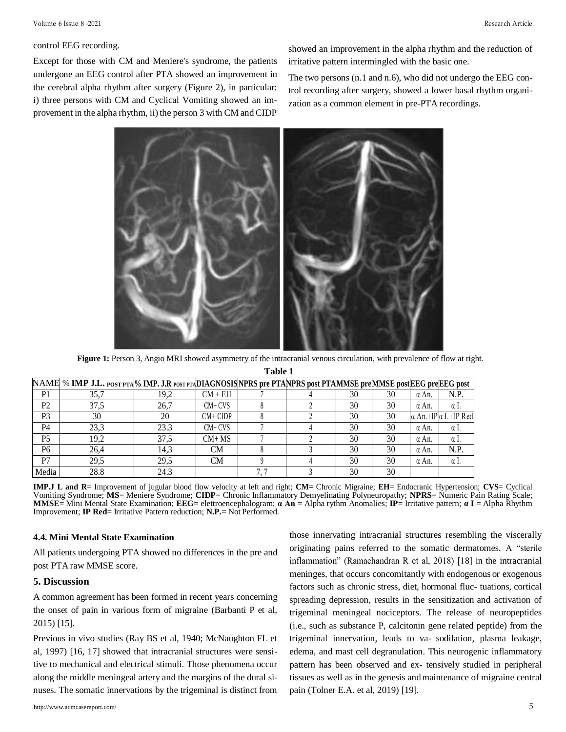#### control EEG recording.

Except for those with CM and Meniere's syndrome, the patients undergone an EEG control after PTA showed an improvement in the cerebral alpha rhythm after surgery (Figure 2), in particular: i) three persons with CM and Cyclical Vomiting showed an improvement in the alpha rhythm, ii) the person 3 with CM and CIDP showed an improvement in the alpha rhythm and the reduction of irritative pattern intermingled with the basic one.

The two persons (n.1 and n.6), who did not undergo the EEG control recording after surgery, showed a lower basal rhythm organization as a common element in pre-PTA recordings.



**Figure 1:** Person 3, Angio MRI showed asymmetry of the intracranial venous circulation, with prevalence of flow at right. **Table 1**

|                | 1 avie 1                                                                                                         |      |            |   |  |    |    |              |                                    |  |  |  |
|----------------|------------------------------------------------------------------------------------------------------------------|------|------------|---|--|----|----|--------------|------------------------------------|--|--|--|
|                | NAME % IMP J.L. POST PTA % IMP. J.R POST PTADIAGNOSIS NPRS pre PTANPRS post PTAMMSE preMMSE post EEG preEEG post |      |            |   |  |    |    |              |                                    |  |  |  |
| P1             | 35,7                                                                                                             | 19.2 | $CM + EH$  |   |  | 30 | 30 | $\alpha$ An. | N.P.                               |  |  |  |
| P <sub>2</sub> | 37,5                                                                                                             | 26,7 | $CM+CVS$   |   |  | 30 | 30 | α An.        | $\alpha$ 1.                        |  |  |  |
| P <sub>3</sub> | 30                                                                                                               | 20   | $CM+CIDP$  |   |  | 30 | 30 |              | $\alpha$ An.+IP $\alpha$ I.+IP Red |  |  |  |
| P <sub>4</sub> | 23,3                                                                                                             | 23.3 | $CM + CVS$ |   |  | 30 | 30 | α An.        | $\alpha$ 1.                        |  |  |  |
| P <sub>5</sub> | 19,2                                                                                                             | 37,5 | $CM+MS$    |   |  | 30 | 30 | α An.        | $\alpha$ 1.                        |  |  |  |
| P <sub>6</sub> | 26,4                                                                                                             | 14.3 | CM         |   |  | 30 | 30 | α An.        | N.P.                               |  |  |  |
| P7             | 29.5                                                                                                             | 29.5 | CM         |   |  | 30 | 30 | $\alpha$ An. | $\alpha$ I.                        |  |  |  |
| Media          | 28.8                                                                                                             | 24.3 |            | 7 |  | 30 | 30 |              |                                    |  |  |  |

**IMP.J L and R**= Improvement of jugular blood flow velocity at left and right; **CM=** Chronic Migraine; **EH**= Endocranic Hypertension; **CVS**= Cyclical Vomiting Syndrome; **MS**= Meniere Syndrome; **CIDP**= Chronic Inflammatory Demyelinating Polyneuropathy; **NPRS**= Numeric Pain Rating Scale; **MMSE**= Mini Mental State Examination; **EEG**= elettroencephalogram; **α An** = Alpha rythm Anomalies; **IP**= Irritative pattern; **α I** = Alpha Rhythm Improvement; **IP Red**= Irritative Pattern reduction; **N.P.**= Not Performed.

#### **4.4. Mini Mental State Examination**

All patients undergoing PTA showed no differences in the pre and post PTA raw MMSE score.

#### **5. Discussion**

A common agreement has been formed in recent years concerning the onset of pain in various form of migraine (Barbanti P et al, 2015) [15].

Previous in vivo studies (Ray BS et al, 1940; McNaughton FL et al, 1997) [16, 17] showed that intracranial structures were sensitive to mechanical and electrical stimuli. Those phenomena occur along the middle meningeal artery and the margins of the dural sinuses. The somatic innervations by the trigeminal is distinct from

<http://www.acmcasereport.com/> 5

those innervating intracranial structures resembling the viscerally originating pains referred to the somatic dermatomes. A "sterile inflammation" (Ramachandran R et al, 2018) [18] in the intracranial meninges, that occurs concomitantly with endogenous or exogenous factors such as chronic stress, diet, hormonal fluc- tuations, cortical spreading depression, results in the sensitization and activation of trigeminal meningeal nociceptors. The release of neuropeptides (i.e., such as substance P, calcitonin gene related peptide) from the trigeminal innervation, leads to va- sodilation, plasma leakage, edema, and mast cell degranulation. This neurogenic inflammatory pattern has been observed and ex- tensively studied in peripheral tissues as well as in the genesis andmaintenance of migraine central pain (Tolner E.A. et al, 2019) [19].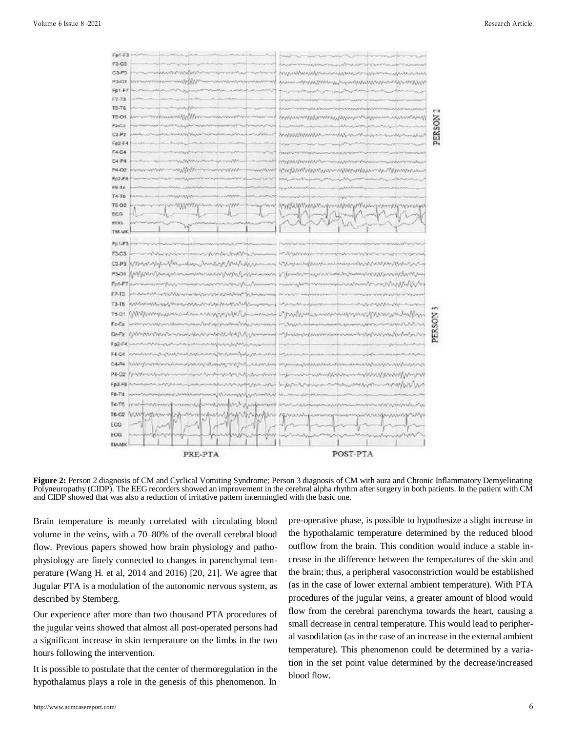

**Figure 2:** Person 2 diagnosis of CM and Cyclical Vomiting Syndrome; Person 3 diagnosis of CM with aura and Chronic Inflammatory Demyelinating Polyneuropathy (CIDP). The EEG recorders showed an improvement in the cerebral alpha rhythm after surgery in both patients. In the patient with CM and CIDP showed that was also a reduction of irritative pattern intermingled with the basic one.

Brain temperature is meanly correlated with circulating blood volume in the veins, with a 70–80% of the overall cerebral blood flow. Previous papers showed how brain physiology and pathophysiology are finely connected to changes in parenchymal temperature (Wang H. et al, 2014 and 2016) [20, 21]. We agree that Jugular PTA is a modulation of the autonomic nervous system, as described by Stemberg.

Our experience after more than two thousand PTA procedures of the jugular veins showed that almost all post-operated persons had a significant increase in skin temperature on the limbs in the two hours following the intervention.

It is possible to postulate that the center of thermoregulation in the hypothalamus plays a role in the genesis of this phenomenon. In

pre-operative phase, is possible to hypothesize a slight increase in the hypothalamic temperature determined by the reduced blood outflow from the brain. This condition would induce a stable increase in the difference between the temperatures of the skin and the brain; thus, a peripheral vasoconstriction would be established (as in the case of lower external ambient temperature). With PTA procedures of the jugular veins, a greater amount of blood would flow from the cerebral parenchyma towards the heart, causing a small decrease in central temperature. This would lead to peripheral vasodilation (as in the case of an increase in the external ambient temperature). This phenomenon could be determined by a variation in the set point value determined by the decrease/increased blood flow.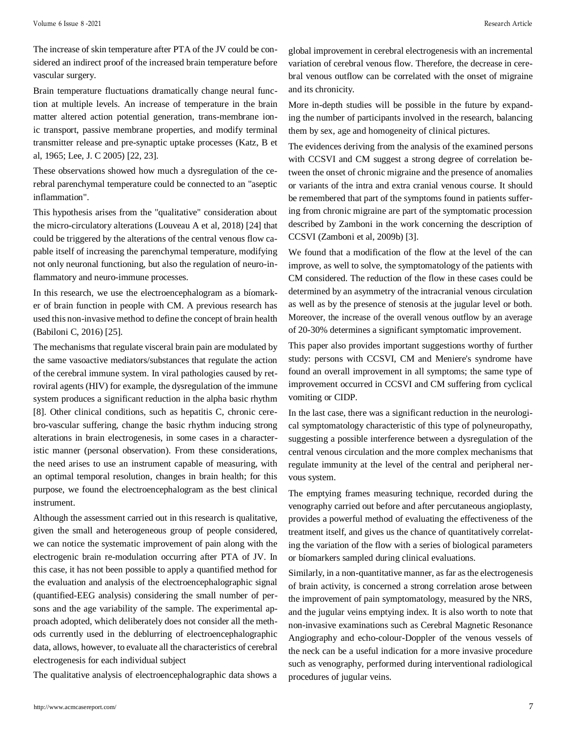The increase of skin temperature after PTA of the JV could be considered an indirect proof of the increased brain temperature before vascular surgery.

Brain temperature fluctuations dramatically change neural function at multiple levels. An increase of temperature in the brain matter altered action potential generation, trans-membrane ionic transport, passive membrane properties, and modify terminal transmitter release and pre-synaptic uptake processes (Katz, B et al, 1965; Lee, J. C 2005) [22, 23].

These observations showed how much a dysregulation of the cerebral parenchymal temperature could be connected to an "aseptic inflammation".

This hypothesis arises from the "qualitative" consideration about the micro-circulatory alterations (Louveau A et al, 2018) [24] that could be triggered by the alterations of the central venous flow capable itself of increasing the parenchymal temperature, modifying not only neuronal functioning, but also the regulation of neuro-inflammatory and neuro-immune processes.

In this research, we use the electroencephalogram as a bíomarker of brain function in people with CM. A previous research has used this non-invasive method to define the concept of brain health (Babiloni C, 2016) [25].

The mechanisms that regulate visceral brain pain are modulated by the same vasoactive mediators/substances that regulate the action of the cerebral immune system. In viral pathologies caused by retroviral agents (HIV) for example, the dysregulation of the immune system produces a significant reduction in the alpha basic rhythm [8]. Other clinical conditions, such as hepatitis C, chronic cerebro-vascular suffering, change the basic rhythm inducing strong alterations in brain electrogenesis, in some cases in a characteristic manner (personal observation). From these considerations, the need arises to use an instrument capable of measuring, with an optimal temporal resolution, changes in brain health; for this purpose, we found the electroencephalogram as the best clinical instrument.

Although the assessment carried out in this research is qualitative, given the small and heterogeneous group of people considered, we can notice the systematic improvement of pain along with the electrogenic brain re-modulation occurring after PTA of JV. In this case, it has not been possible to apply a quantified method for the evaluation and analysis of the electroencephalographic signal (quantified-EEG analysis) considering the small number of persons and the age variability of the sample. The experimental approach adopted, which deliberately does not consider all the methods currently used in the deblurring of electroencephalographic data, allows, however, to evaluate all the characteristics of cerebral electrogenesis for each individual subject

The qualitative analysis of electroencephalographic data shows a

global improvement in cerebral electrogenesis with an incremental variation of cerebral venous flow. Therefore, the decrease in cerebral venous outflow can be correlated with the onset of migraine and its chronicity.

More in-depth studies will be possible in the future by expanding the number of participants involved in the research, balancing them by sex, age and homogeneity of clinical pictures.

The evidences deriving from the analysis of the examined persons with CCSVI and CM suggest a strong degree of correlation between the onset of chronic migraine and the presence of anomalies or variants of the intra and extra cranial venous course. It should be remembered that part of the symptoms found in patients suffering from chronic migraine are part of the symptomatic procession described by Zamboni in the work concerning the description of CCSVI (Zamboni et al, 2009b) [3].

We found that a modification of the flow at the level of the can improve, as well to solve, the symptomatology of the patients with CM considered. The reduction of the flow in these cases could be determined by an asymmetry of the intracranial venous circulation as well as by the presence of stenosis at the jugular level or both. Moreover, the increase of the overall venous outflow by an average of 20-30% determines a significant symptomatic improvement.

This paper also provides important suggestions worthy of further study: persons with CCSVI, CM and Meniere's syndrome have found an overall improvement in all symptoms; the same type of improvement occurred in CCSVI and CM suffering from cyclical vomiting or CIDP.

In the last case, there was a significant reduction in the neurological symptomatology characteristic of this type of polyneuropathy, suggesting a possible interference between a dysregulation of the central venous circulation and the more complex mechanisms that regulate immunity at the level of the central and peripheral nervous system.

The emptying frames measuring technique, recorded during the venography carried out before and after percutaneous angioplasty, provides a powerful method of evaluating the effectiveness of the treatment itself, and gives us the chance of quantitatively correlating the variation of the flow with a series of biological parameters or bíomarkers sampled during clinical evaluations.

Similarly, in a non-quantitative manner, as far as the electrogenesis of brain activity, is concerned a strong correlation arose between the improvement of pain symptomatology, measured by the NRS, and the jugular veins emptying index. It is also worth to note that non-invasive examinations such as Cerebral Magnetic Resonance Angiography and echo-colour-Doppler of the venous vessels of the neck can be a useful indication for a more invasive procedure such as venography, performed during interventional radiological procedures of jugular veins.